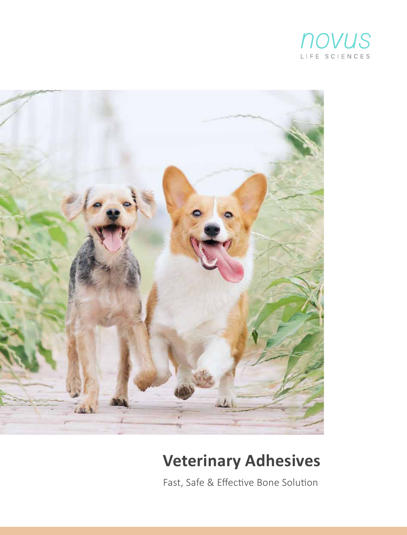



## **Veterinary Adhesives**

Fast, Safe & Effective Bone Solution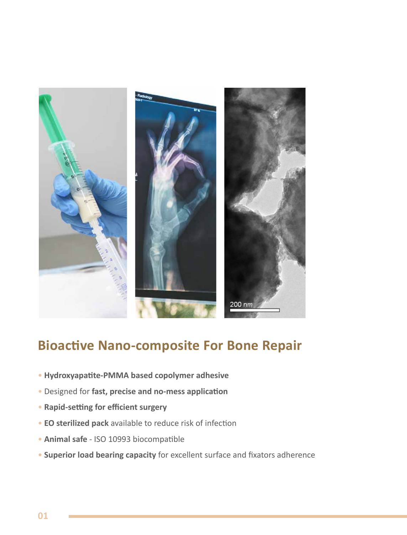

### **Bioactive Nano-composite For Bone Repair**

- **Hydroxyapa�te-PMMA based copolymer adhesive**
- Designed for **fast, precise and no-mess applica�on**
- **Rapid-setting for efficient surgery**
- **EO sterilized pack** available to reduce risk of infection
- **Animal safe** ISO 10993 biocompatible
- **Superior load bearing capacity** for excellent surface and fixators adherence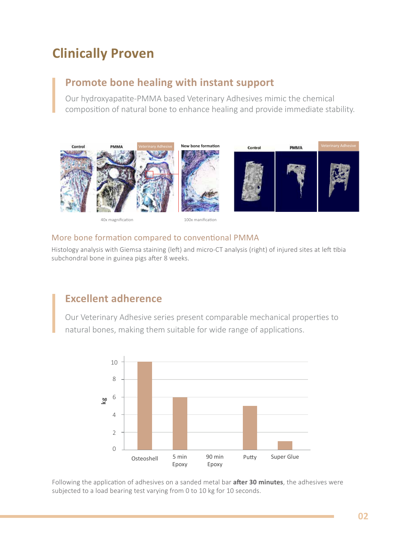### **Clinically Proven**

### **Promote bone healing with instant support**

Our hydroxyapatite-PMMA based Veterinary Adhesives mimic the chemical composi�on of natural bone to enhance healing and provide immediate stability.



### 40x magnification 100x manification

### More bone formation compared to conventional PMMA

Histology analysis with Giemsa staining (left) and micro-CT analysis (right) of injured sites at left tibia subchondral bone in guinea pigs after 8 weeks.

### **Excellent adherence**

Our Veterinary Adhesive series present comparable mechanical proper�es to natural bones, making them suitable for wide range of applications.



Following the application of adhesives on a sanded metal bar **after 30 minutes**, the adhesives were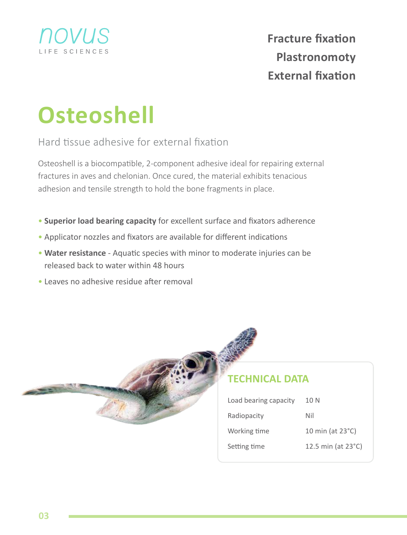

# **Osteoshell**

Hard tissue adhesive for external fixation

Osteoshell is a biocompatible, 2-component adhesive ideal for repairing external fractures in aves and chelonian. Once cured, the material exhibits tenacious adhesion and tensile strength to hold the bone fragments in place.

- **Superior load bearing capacity** for excellent surface and fixators adherence
- Applicator nozzles and fixators are available for different indications
- Water resistance Aquatic species with minor to moderate injuries can be released back to water within 48 hours
- Leaves no adhesive residue after removal



### **TECHNICAL DATA**

| Load bearing capacity | 10 N                       |
|-----------------------|----------------------------|
| Radiopacity           | Nil                        |
| Working time          | 10 min (at $23^{\circ}$ C) |
| Setting time          | 12.5 min (at 23°C)         |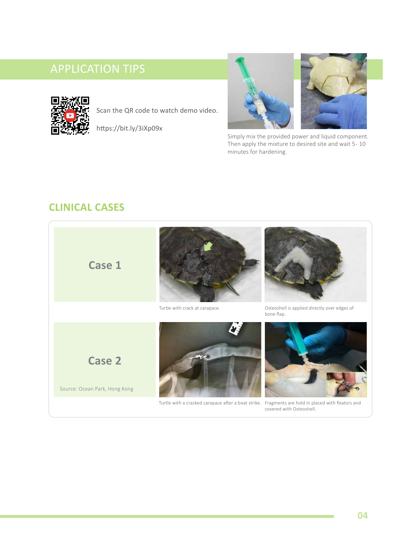

Scan the QR code to watch demo video.

https://bit.ly/3iXp09x





Simply mix the provided power and liquid component. Then apply the mixture to desired site and wait 5 - 10 minutes for hardening.

### **CLINICAL CASES**

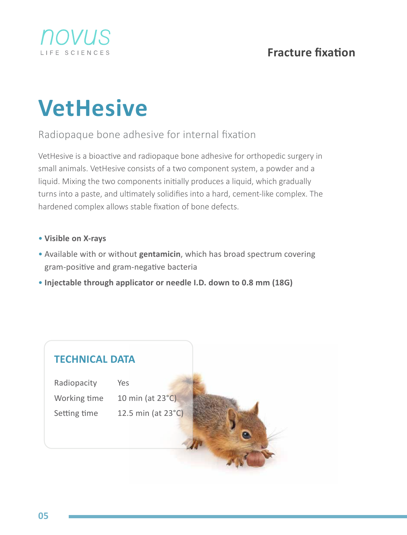

### **Fracture fixation**

## **VetHesive**

### Radiopaque bone adhesive for internal fixation

VetHesive is a bioactive and radiopaque bone adhesive for orthopedic surgery in small animals. VetHesive consists of a two component system, a powder and a liquid. Mixing the two components initially produces a liquid, which gradually turns into a paste, and ultimately solidifies into a hard, cement-like complex. The hardened complex allows stable fixation of bone defects.

- **Visible on X-rays**
- Available with or without **gentamicin**, which has broad spectrum covering gram-positive and gram-negative bacteria
- **Injectable through applicator or needle I.D. down to 0.8 mm (18G)**

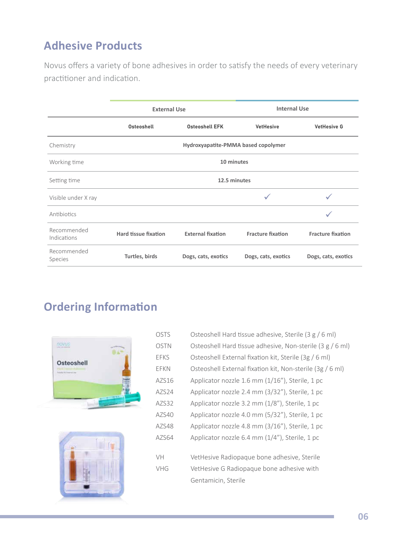### **Adhesive Products**

Novus offers a variety of bone adhesives in order to satisfy the needs of every veterinary practitioner and indication.

|                            | <b>External Use</b>  |                                     | <b>Internal Use</b>      |                          |
|----------------------------|----------------------|-------------------------------------|--------------------------|--------------------------|
|                            | Osteoshell           | Osteoshell EFK                      | VetHesive                | <b>VetHesive G</b>       |
| Chemistry                  |                      | Hydroxyapatite-PMMA based copolymer |                          |                          |
| Working time               |                      | 10 minutes                          |                          |                          |
| Setting time               | 12.5 minutes         |                                     |                          |                          |
| Visible under X ray        |                      |                                     |                          |                          |
| <b>Antibiotics</b>         |                      |                                     |                          |                          |
| Recommended<br>Indications | Hard tissue fixation | <b>External fixation</b>            | <b>Fracture fixation</b> | <b>Fracture fixation</b> |
| Recommended<br>Species     | Turtles, birds       | Dogs, cats, exotics                 | Dogs, cats, exotics      | Dogs, cats, exotics      |

### **Ordering Information**





| <b>OSTS</b> | Osteoshell Hard tissue adhesive, Sterile (3 g / 6 ml)     |
|-------------|-----------------------------------------------------------|
| <b>OSTN</b> | Osteoshell Hard tissue adhesive, Non-sterile (3 g / 6 ml) |
| <b>EFKS</b> | Osteoshell External fixation kit, Sterile (3g / 6 ml)     |
| FFKN        | Osteoshell External fixation kit, Non-sterile (3g / 6 ml) |
| AZS16       | Applicator nozzle 1.6 mm (1/16"), Sterile, 1 pc           |
| AZS24       | Applicator nozzle 2.4 mm (3/32"), Sterile, 1 pc           |
| A7S32       | Applicator nozzle 3.2 mm (1/8"), Sterile, 1 pc            |
| AZS40       | Applicator nozzle 4.0 mm (5/32"), Sterile, 1 pc           |
| AZS48       | Applicator nozzle 4.8 mm (3/16"), Sterile, 1 pc           |
| AZS64       | Applicator nozzle 6.4 mm (1/4"), Sterile, 1 pc            |
| VH          | VetHesive Radiopaque bone adhesive, Sterile               |
| VHG         | VetHesive G Radiopaque bone adhesive with                 |
|             | Gentamicin, Sterile                                       |
|             |                                                           |